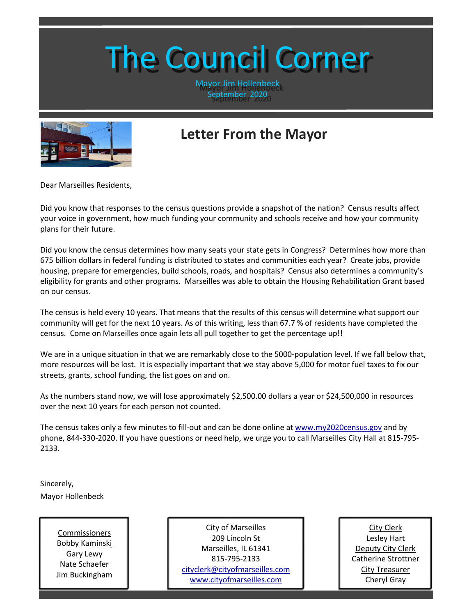# The Council Corner

Mayor Jim Hollenbeck September 2020



## **Letter From the Mayor**

Dear Marseilles Residents,

Did you know that responses to the census questions provide a snapshot of the nation? Census results affect your voice in government, how much funding your community and schools receive and how your community plans for their future.

Did you know the census determines how many seats your state gets in Congress? Determines how more than 675 billion dollars in federal funding is distributed to states and communities each year? Create jobs, provide housing, prepare for emergencies, build schools, roads, and hospitals? Census also determines a community's eligibility for grants and other programs. Marseilles was able to obtain the Housing Rehabilitation Grant based on our census.

The census is held every 10 years. That means that the results of this census will determine what support our community will get for the next 10 years. As of this writing, less than 67.7 % of residents have completed the census. Come on Marseilles once again lets all pull together to get the percentage up!!

We are in a unique situation in that we are remarkably close to the 5000-population level. If we fall below that, more resources will be lost. It is especially important that we stay above 5,000 for motor fuel taxes to fix our streets, grants, school funding, the list goes on and on.

As the numbers stand now, we will lose approximately \$2,500.00 dollars a year or \$24,500,000 in resources over the next 10 years for each person not counted.

The census takes only a few minutes to fill-out and can be done online at [www.my2020census.gov](http://www.my2020census.gov/) and by phone, 844-330-2020. If you have questions or need help, we urge you to call Marseilles City Hall at 815-795- 2133.

Sincerely, Mayor Hollenbeck

> Commissioners Bobby Kaminski Gary Lewy Nate Schaefer Jim Buckingham

City of Marseilles 209 Lincoln St Marseilles, IL 61341 815-795-2133 [cityclerk@cityofmarseilles.com](mailto:cityclerk@cityofmarseilles.com) [www.cityofmarseilles.com](http://www.cityofmarseilles.com/)

City Clerk Lesley Hart Deputy City Clerk Catherine Strottner City Treasurer Cheryl Gray